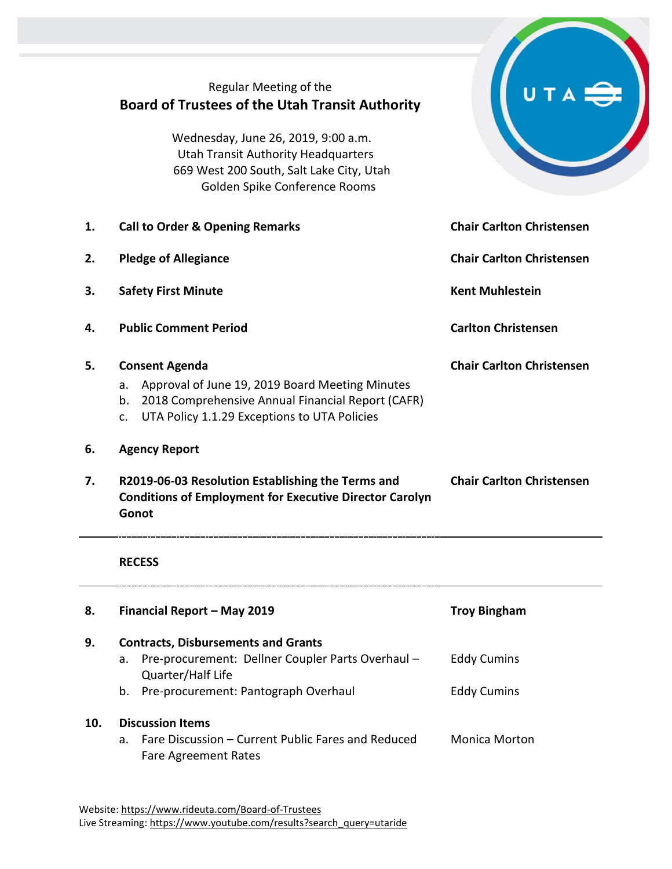|    | Regular Meeting of the<br><b>Board of Trustees of the Utah Transit Authority</b><br>Wednesday, June 26, 2019, 9:00 a.m.<br><b>Utah Transit Authority Headquarters</b><br>669 West 200 South, Salt Lake City, Utah |                                  |
|----|-------------------------------------------------------------------------------------------------------------------------------------------------------------------------------------------------------------------|----------------------------------|
|    | Golden Spike Conference Rooms                                                                                                                                                                                     |                                  |
| 1. | <b>Call to Order &amp; Opening Remarks</b>                                                                                                                                                                        | <b>Chair Carlton Christensen</b> |
| 2. | <b>Pledge of Allegiance</b>                                                                                                                                                                                       | <b>Chair Carlton Christensen</b> |
| 3. | <b>Safety First Minute</b>                                                                                                                                                                                        | <b>Kent Muhlestein</b>           |
| 4. | <b>Public Comment Period</b>                                                                                                                                                                                      | <b>Carlton Christensen</b>       |
| 5. | <b>Consent Agenda</b><br>Approval of June 19, 2019 Board Meeting Minutes<br>a.<br>b. 2018 Comprehensive Annual Financial Report (CAFR)<br>UTA Policy 1.1.29 Exceptions to UTA Policies<br>$C_{\star}$             | <b>Chair Carlton Christensen</b> |
| 6. | <b>Agency Report</b>                                                                                                                                                                                              |                                  |
| 7. | R2019-06-03 Resolution Establishing the Terms and<br><b>Conditions of Employment for Executive Director Carolyn</b><br>Gonot                                                                                      | <b>Chair Carlton Christensen</b> |
|    | <b>RECESS</b>                                                                                                                                                                                                     |                                  |
| 8. | Financial Report - May 2019                                                                                                                                                                                       | <b>Troy Bingham</b>              |
| 9. | <b>Contracts, Disbursements and Grants</b><br>Pre-procurement: Dellner Coupler Parts Overhaul -<br>a.                                                                                                             | <b>Eddy Cumins</b>               |
|    | Quarter/Half Life<br>Pre-procurement: Pantograph Overhaul<br>b.                                                                                                                                                   | <b>Eddy Cumins</b>               |

## **10. Discussion Items**

a. Fare Discussion – Current Public Fares and Reduced Fare Agreement Rates Monica Morton